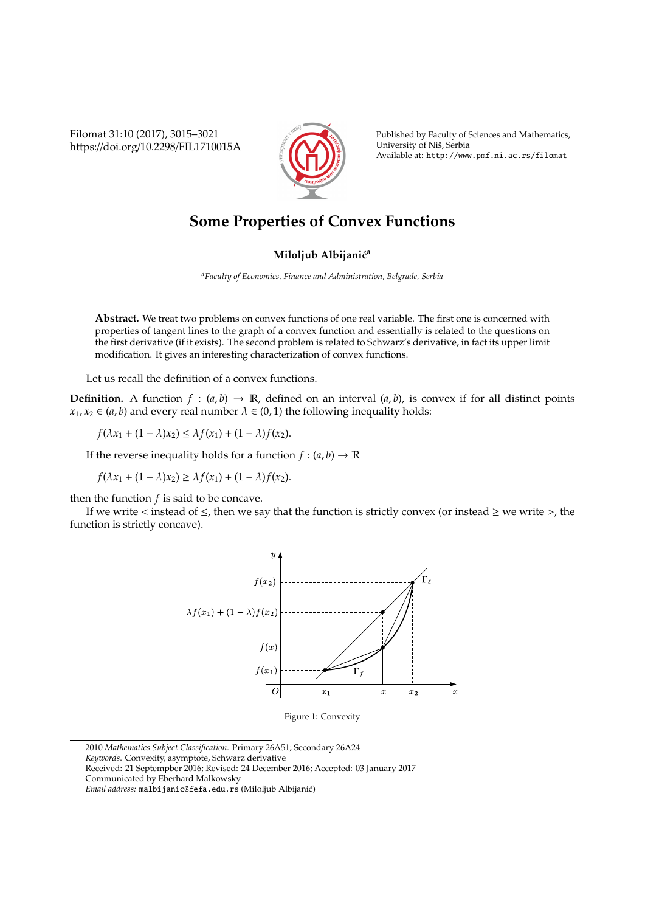Filomat 31:10 (2017), 3015–3021 https://doi.org/10.2298/FIL1710015A



Published by Faculty of Sciences and Mathematics, University of Niš, Serbia Available at: http://www.pmf.ni.ac.rs/filomat

## **Some Properties of Convex Functions**

## **Miloljub Albijanić<sup>a</sup>**

*<sup>a</sup>Faculty of Economics, Finance and Administration, Belgrade, Serbia*

**Abstract.** We treat two problems on convex functions of one real variable. The first one is concerned with properties of tangent lines to the graph of a convex function and essentially is related to the questions on the first derivative (if it exists). The second problem is related to Schwarz's derivative, in fact its upper limit modification. It gives an interesting characterization of convex functions.

Let us recall the definition of a convex functions.

**Definition.** A function  $f : (a, b) \rightarrow \mathbb{R}$ , defined on an interval  $(a, b)$ , is convex if for all distinct points  $x_1, x_2 \in (a, b)$  and every real number  $\lambda \in (0, 1)$  the following inequality holds:

 $f(\lambda x_1 + (1 - \lambda)x_2) \leq \lambda f(x_1) + (1 - \lambda)f(x_2).$ 

If the reverse inequality holds for a function  $f : (a, b) \to \mathbb{R}$ 

*f*( $λx_1 + (1 − λ)x_2$ ) ≥  $λf(x_1) + (1 − λ)f(x_2)$ .

then the function *f* is said to be concave.

If we write < instead of  $\leq$ , then we say that the function is strictly convex (or instead  $\geq$  we write >, the function is strictly concave).



Figure 1: Convexity

<sup>2010</sup> *Mathematics Subject Classification*. Primary 26A51; Secondary 26A24

*Keywords*. Convexity, asymptote, Schwarz derivative

Received: 21 Septempber 2016; Revised: 24 December 2016; Accepted: 03 January 2017

Communicated by Eberhard Malkowsky

*Email address:* malbijanic@fefa.edu.rs (Miloljub Albijanic)´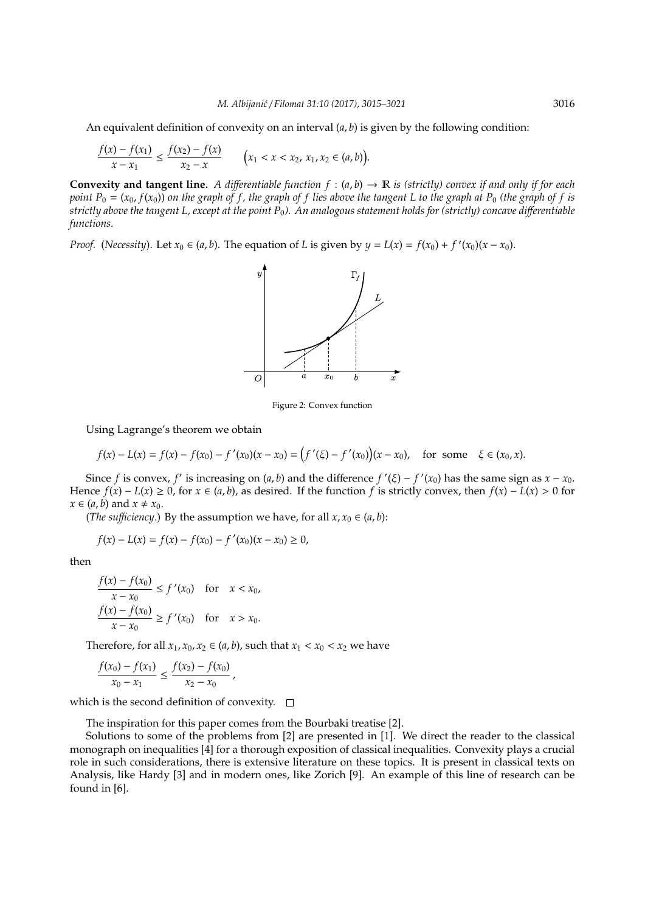An equivalent definition of convexity on an interval (*a*, *b*) is given by the following condition:

$$
\frac{f(x)-f(x_1)}{x-x_1} \le \frac{f(x_2)-f(x)}{x_2-x} \qquad \bigg(x_1 < x < x_2, \, x_1, x_2 \in (a,b)\bigg).
$$

**Convexity and tangent line.** A differentiable function  $f : (a, b) \rightarrow \mathbb{R}$  is (strictly) convex if and only if for each *point*  $P_0 = (x_0, f(x_0))$  *on the graph of f, the graph of f lies above the tangent* L to the graph at  $P_0$  *(the graph of f is strictly above the tangent L, except at the point P*0*). An analogous statement holds for (strictly) concave di*ff*erentiable functions.*

*Proof.* (*Necessity*). Let  $x_0 \in (a, b)$ . The equation of *L* is given by  $y = L(x) = f(x_0) + f'(x_0)(x - x_0)$ .



Figure 2: Convex function

Using Lagrange's theorem we obtain

$$
f(x) - L(x) = f(x) - f(x_0) - f'(x_0)(x - x_0) = (f'(\xi) - f'(x_0))(x - x_0), \text{ for some } \xi \in (x_0, x).
$$

Since *f* is convex, *f'* is increasing on  $(a, b)$  and the difference  $f'(\xi) - f'(x_0)$  has the same sign as  $x - x_0$ . Hence  $f(x) - L(x) \ge 0$ , for  $x \in (a, b)$ , as desired. If the function *f* is strictly convex, then  $f(x) - L(x) > 0$  for  $x \in (a, b)$  and  $x \neq x_0$ .

(*The sufficiency*.) By the assumption we have, for all  $x, x_0 \in (a, b)$ :

$$
f(x) - L(x) = f(x) - f(x_0) - f'(x_0)(x - x_0) \ge 0,
$$

then

$$
\frac{f(x) - f(x_0)}{x - x_0} \le f'(x_0) \quad \text{for} \quad x < x_0,
$$
\n
$$
\frac{f(x) - f(x_0)}{x - x_0} \ge f'(x_0) \quad \text{for} \quad x > x_0.
$$

Therefore, for all  $x_1, x_0, x_2 \in (a, b)$ , such that  $x_1 < x_0 < x_2$  we have

$$
\frac{f(x_0)-f(x_1)}{x_0-x_1} \leq \frac{f(x_2)-f(x_0)}{x_2-x_0},
$$

which is the second definition of convexity.  $\square$ 

The inspiration for this paper comes from the Bourbaki treatise [2].

Solutions to some of the problems from [2] are presented in [1]. We direct the reader to the classical monograph on inequalities [4] for a thorough exposition of classical inequalities. Convexity plays a crucial role in such considerations, there is extensive literature on these topics. It is present in classical texts on Analysis, like Hardy [3] and in modern ones, like Zorich [9]. An example of this line of research can be found in [6].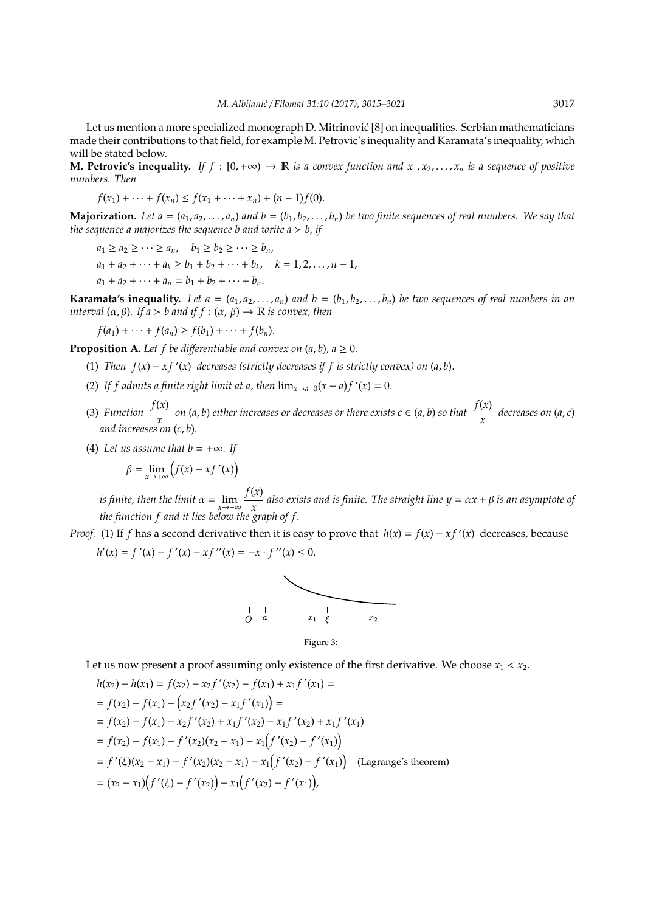Let us mention a more specialized monograph D. Mitrinovic [8] on inequalities. Serbian mathematicians ´ made their contributions to that field, for example M. Petrovic's inequality and Karamata's inequality, which will be stated below.

**M. Petrovic's inequality.** *If f* : [0, +∞) → **R** *is a convex function and*  $x_1, x_2, ..., x_n$  *is a sequence of positive numbers. Then*

$$
f(x_1) + \cdots + f(x_n) \le f(x_1 + \cdots + x_n) + (n-1)f(0).
$$

**Majorization.** Let  $a = (a_1, a_2, \ldots, a_n)$  and  $b = (b_1, b_2, \ldots, b_n)$  be two finite sequences of real numbers. We say that *the sequence a majorizes the sequence b and write*  $a > b$ *, if* 

 $a_1 \geq a_2 \geq \cdots \geq a_n$ ,  $b_1 \geq b_2 \geq \cdots \geq b_n$ ,  $a_1 + a_2 + \cdots + a_k \ge b_1 + b_2 + \cdots + b_k, \quad k = 1, 2, \ldots, n - 1,$  $a_1 + a_2 + \cdots + a_n = b_1 + b_2 + \cdots + b_n.$ 

**Karamata's inequality.** Let  $a = (a_1, a_2, \ldots, a_n)$  and  $b = (b_1, b_2, \ldots, b_n)$  be two sequences of real numbers in an *interval*  $(\alpha, \beta)$ *. If*  $\alpha > b$  *and if*  $f : (\alpha, \beta) \rightarrow \mathbb{R}$  *is convex, then* 

$$
f(a_1)+\cdots+f(a_n)\geq f(b_1)+\cdots+f(b_n).
$$

**Proposition A.** Let f be differentiable and convex on  $(a, b)$ ,  $a \ge 0$ .

- (1) *Then*  $f(x) xf'(x)$  *decreases* (strictly decreases if f is strictly convex) on  $(a, b)$ .
- (2) If f admits a finite right limit at a, then  $\lim_{x\to a+0}(x-a)$   $f'(x) = 0$ .
- (3) *Function*  $\frac{f(x)}{x}$  $\frac{f(x)}{x}$  *on* (*a*, *b*) *either increases or decreases or there exists <i>c* ∈ (*a*, *b*) *so that*  $\frac{f(x)}{x}$  $\frac{\partial}{\partial x}$  decreases on  $(a, c)$ *and increases on* (*c*, *b*).
- (4) Let us assume that  $b = +\infty$ . If

$$
\beta = \lim_{x \to +\infty} \left( f(x) - x f'(x) \right)
$$

*is finite, then the limit*  $\alpha = \lim_{x \to +\infty} \frac{f(x)}{x}$ *x also exists and is finite. The straight line y* = α*x* + β *is an asymptote of the function f and it lies below the graph of f*.

*Proof.* (1) If *f* has a second derivative then it is easy to prove that  $h(x) = f(x) - xf'(x)$  decreases, because  $h'(x) = f'(x) - f'(x) - xf''(x) = -x \cdot f''(x) \leq 0.$ 





Let us now present a proof assuming only existence of the first derivative. We choose  $x_1 < x_2$ .

$$
h(x_2) - h(x_1) = f(x_2) - x_2 f'(x_2) - f(x_1) + x_1 f'(x_1) =
$$
  
=  $f(x_2) - f(x_1) - (x_2 f'(x_2) - x_1 f'(x_1)) =$   
=  $f(x_2) - f(x_1) - x_2 f'(x_2) + x_1 f'(x_2) - x_1 f'(x_2) + x_1 f'(x_1)$   
=  $f(x_2) - f(x_1) - f'(x_2)(x_2 - x_1) - x_1(f'(x_2) - f'(x_1))$   
=  $f'(\xi)(x_2 - x_1) - f'(x_2)(x_2 - x_1) - x_1(f'(x_2) - f'(x_1))$  (Lagrange's theorem)  
=  $(x_2 - x_1)(f'(\xi) - f'(x_2)) - x_1(f'(x_2) - f'(x_1)),$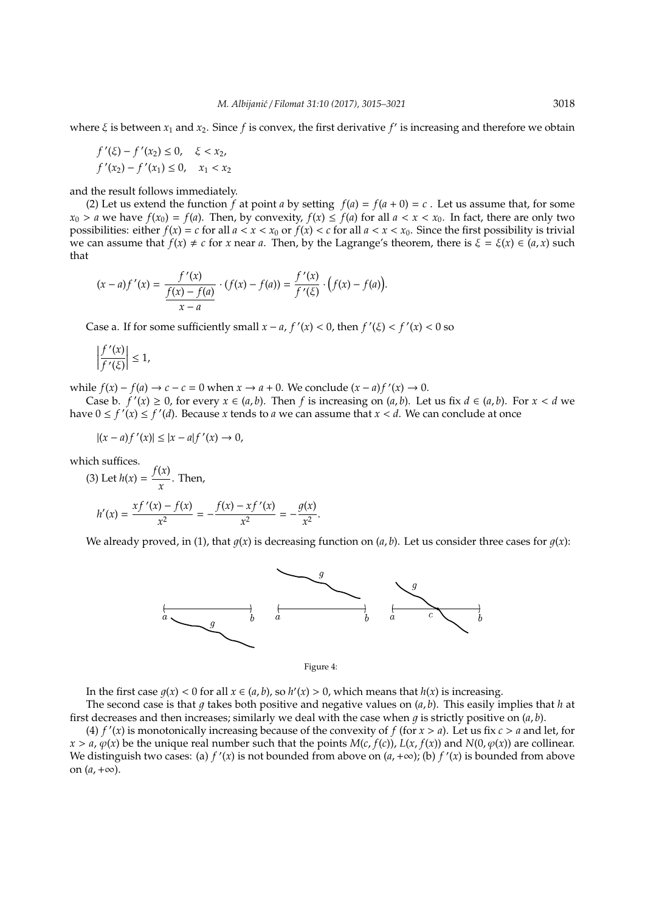where  $\xi$  is between  $x_1$  and  $x_2$ . Since  $f$  is convex, the first derivative  $f'$  is increasing and therefore we obtain

$$
f'(\xi) - f'(x_2) \le 0, \quad \xi < x_2, \\
f'(x_2) - f'(x_1) \le 0, \quad x_1 < x_2
$$

and the result follows immediately.

(2) Let us extend the function *f* at point *a* by setting  $f(a) = f(a + 0) = c$ . Let us assume that, for some  $x_0 > a$  we have  $f(x_0) = f(a)$ . Then, by convexity,  $f(x) \le f(a)$  for all  $a < x < x_0$ . In fact, there are only two possibilities: either  $f(x) = c$  for all  $a < x < x_0$  or  $f(x) < c$  for all  $a < x < x_0$ . Since the first possibility is trivial we can assume that  $f(x) \neq c$  for *x* near *a*. Then, by the Lagrange's theorem, there is  $\xi = \xi(x) \in (a, x)$  such that

$$
(x-a)f'(x) = \frac{f'(x)}{\frac{f(x)-f(a)}{x-a}} \cdot (f(x)-f(a)) = \frac{f'(x)}{f'(\xi)} \cdot (f(x)-f(a)).
$$

Case a. If for some sufficiently small  $x - a$ ,  $f'(x) < 0$ , then  $f'(\xi) < f'(x) < 0$  so

$$
\left|\frac{f'(x)}{f'(\xi)}\right| \leq 1,
$$

while  $f(x) - f(a) \rightarrow c - c = 0$  when  $x \rightarrow a + 0$ . We conclude  $(x - a)f'(x) \rightarrow 0$ .

Case b.  $f'(x) \ge 0$ , for every  $x \in (a, b)$ . Then *f* is increasing on  $(a, b)$ . Let us fix  $d \in (a, b)$ . For  $x < d$  we have  $0 \le f'(x) \le f'(d)$ . Because *x* tends to *a* we can assume that  $x < d$ . We can conclude at once

$$
|(x-a)f'(x)| \le |x-a|f'(x) \to 0,
$$

which suffices.

(3) Let 
$$
h(x) = \frac{f(x)}{x}
$$
. Then,  
\n
$$
h'(x) = \frac{xf'(x) - f(x)}{x^2} = -\frac{f(x) - xf'(x)}{x^2} = -\frac{g(x)}{x^2}.
$$

We already proved, in (1), that  $q(x)$  is decreasing function on  $(a, b)$ . Let us consider three cases for  $q(x)$ :





In the first case  $g(x) < 0$  for all  $x \in (a, b)$ , so  $h'(x) > 0$ , which means that  $h(x)$  is increasing.

The second case is that  $q$  takes both positive and negative values on  $(a, b)$ . This easily implies that  $h$  at first decreases and then increases; similarly we deal with the case when  $q$  is strictly positive on  $(a, b)$ .

(4)  $f'(x)$  is monotonically increasing because of the convexity of  $f$  (for  $x > a$ ). Let us fix  $c > a$  and let, for  $x > a$ ,  $\varphi(x)$  be the unique real number such that the points  $M(c, f(c))$ ,  $L(x, f(x))$  and  $N(0, \varphi(x))$  are collinear. We distinguish two cases: (a)  $f'(x)$  is not bounded from above on  $(a, +\infty)$ ; (b)  $f'(x)$  is bounded from above on  $(a, +\infty)$ .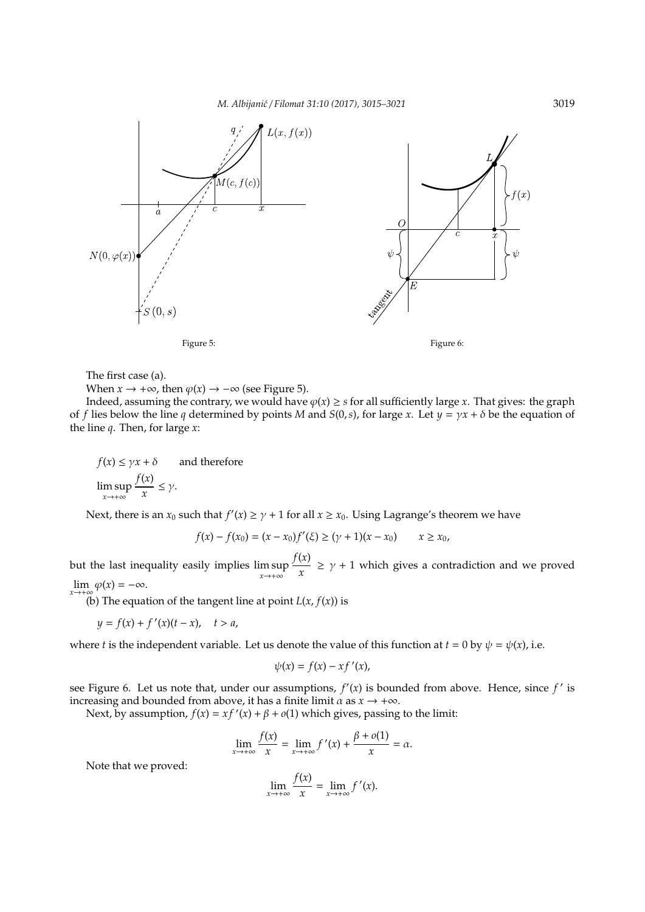

The first case (a).

When  $x \to +\infty$ , then  $\varphi(x) \to -\infty$  (see Figure 5).

Indeed, assuming the contrary, we would have  $\varphi(x) \geq s$  for all sufficiently large *x*. That gives: the graph of *f* lies below the line *q* determined by points *M* and *S*(0,*s*), for large *x*. Let  $y = \gamma x + \delta$  be the equation of the line *q*. Then, for large *x*:

 $f(x) \leq \gamma x + \delta$  and therefore

$$
\limsup_{x \to +\infty} \frac{f(x)}{x} \le \gamma.
$$

Next, there is an  $x_0$  such that  $f'(x) \ge \gamma + 1$  for all  $x \ge x_0$ . Using Lagrange's theorem we have

$$
f(x) - f(x_0) = (x - x_0)f'(\xi) \ge (y + 1)(x - x_0) \qquad x \ge x_0,
$$

but the last inequality easily implies lim sup *x*→+∞ *f*(*x*)  $\frac{\partial u}{\partial x}$   $\geq$   $\gamma$  + 1 which gives a contradiction and we proved  $\lim_{x \to +\infty} \varphi(x) = -\infty.$ 

(b) The equation of the tangent line at point  $L(x, f(x))$  is

$$
y = f(x) + f'(x)(t - x), \quad t > a,
$$

where *t* is the independent variable. Let us denote the value of this function at  $t = 0$  by  $\psi = \psi(x)$ , i.e.

$$
\psi(x) = f(x) - xf'(x),
$$

see Figure 6. Let us note that, under our assumptions,  $f'(x)$  is bounded from above. Hence, since  $f'$  is increasing and bounded from above, it has a finite limit  $\alpha$  as  $x \rightarrow +\infty$ .

Next, by assumption,  $f(x) = xf'(x) + \beta + o(1)$  which gives, passing to the limit:

$$
\lim_{x \to +\infty} \frac{f(x)}{x} = \lim_{x \to +\infty} f'(x) + \frac{\beta + o(1)}{x} = \alpha.
$$

Note that we proved:

$$
\lim_{x \to +\infty} \frac{f(x)}{x} = \lim_{x \to +\infty} f'(x).
$$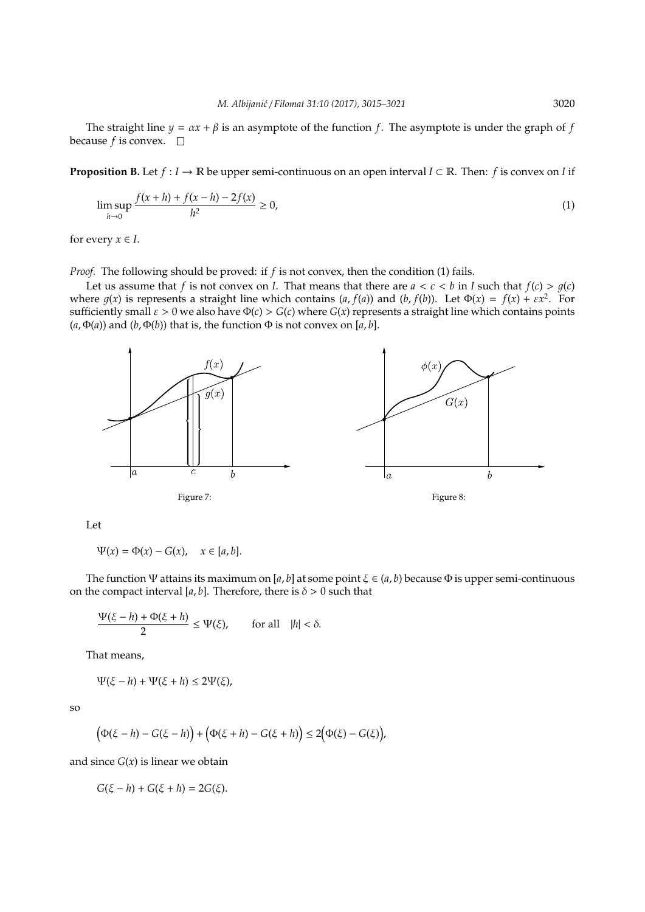The straight line  $y = \alpha x + \beta$  is an asymptote of the function *f*. The asymptote is under the graph of *f* because  $f$  is convex.  $\Box$ 

**Proposition B.** Let  $f: I \to \mathbb{R}$  be upper semi-continuous on an open interval  $I \subset \mathbb{R}$ . Then: f is convex on I if

$$
\limsup_{h \to 0} \frac{f(x+h) + f(x-h) - 2f(x)}{h^2} \ge 0,
$$
\n(1)

for every  $x \in I$ .

*Proof.* The following should be proved: if *f* is not convex, then the condition (1) fails.

Let us assume that *f* is not convex on *I*. That means that there are  $a < c < b$  in *I* such that  $f(c) > g(c)$ where  $g(x)$  is represents a straight line which contains  $(a, f(a))$  and  $(b, f(b))$ . Let  $\Phi(x) = f(x) + \varepsilon x^2$ . For sufficiently small  $\varepsilon > 0$  we also have  $\Phi(c) > G(c)$  where  $G(x)$  represents a straight line which contains points  $(a, \Phi(a))$  and  $(b, \Phi(b))$  that is, the function  $\Phi$  is not convex on [a, b].



Let

 $\Psi(x) = \Phi(x) - G(x), \quad x \in [a, b].$ 

The function Ψ attains its maximum on [*a*, *b*] at some point ξ ∈ (*a*, *b*) because Φ is upper semi-continuous on the compact interval [ $a$ , $b$ ]. Therefore, there is  $\delta > 0$  such that

$$
\frac{\Psi(\xi - h) + \Phi(\xi + h)}{2} \le \Psi(\xi), \qquad \text{for all} \quad |h| < \delta.
$$

That means,

 $\Psi(\xi - h) + \Psi(\xi + h) \leq 2\Psi(\xi)$ ,

so

$$
\big(\Phi(\xi-h)-G(\xi-h)\big)+\big(\Phi(\xi+h)-G(\xi+h)\big)\leq 2\big(\Phi(\xi)-G(\xi)\big),
$$

and since  $G(x)$  is linear we obtain

$$
G(\xi - h) + G(\xi + h) = 2G(\xi).
$$